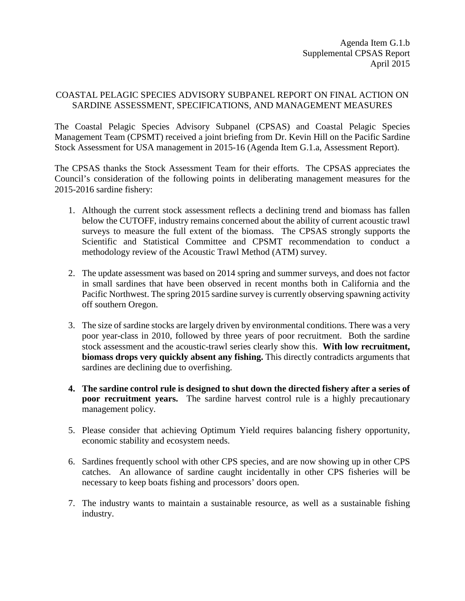## COASTAL PELAGIC SPECIES ADVISORY SUBPANEL REPORT ON FINAL ACTION ON SARDINE ASSESSMENT, SPECIFICATIONS, AND MANAGEMENT MEASURES

The Coastal Pelagic Species Advisory Subpanel (CPSAS) and Coastal Pelagic Species Management Team (CPSMT) received a joint briefing from Dr. Kevin Hill on the Pacific Sardine Stock Assessment for USA management in 2015-16 (Agenda Item G.1.a, Assessment Report).

The CPSAS thanks the Stock Assessment Team for their efforts. The CPSAS appreciates the Council's consideration of the following points in deliberating management measures for the 2015-2016 sardine fishery:

- 1. Although the current stock assessment reflects a declining trend and biomass has fallen below the CUTOFF, industry remains concerned about the ability of current acoustic trawl surveys to measure the full extent of the biomass. The CPSAS strongly supports the Scientific and Statistical Committee and CPSMT recommendation to conduct a methodology review of the Acoustic Trawl Method (ATM) survey.
- 2. The update assessment was based on 2014 spring and summer surveys, and does not factor in small sardines that have been observed in recent months both in California and the Pacific Northwest. The spring 2015 sardine survey is currently observing spawning activity off southern Oregon.
- 3. The size of sardine stocks are largely driven by environmental conditions. There was a very poor year-class in 2010, followed by three years of poor recruitment. Both the sardine stock assessment and the acoustic-trawl series clearly show this. **With low recruitment, biomass drops very quickly absent any fishing.** This directly contradicts arguments that sardines are declining due to overfishing.
- **4. The sardine control rule is designed to shut down the directed fishery after a series of poor recruitment years.** The sardine harvest control rule is a highly precautionary management policy.
- 5. Please consider that achieving Optimum Yield requires balancing fishery opportunity, economic stability and ecosystem needs.
- 6. Sardines frequently school with other CPS species, and are now showing up in other CPS catches. An allowance of sardine caught incidentally in other CPS fisheries will be necessary to keep boats fishing and processors' doors open.
- 7. The industry wants to maintain a sustainable resource, as well as a sustainable fishing industry.